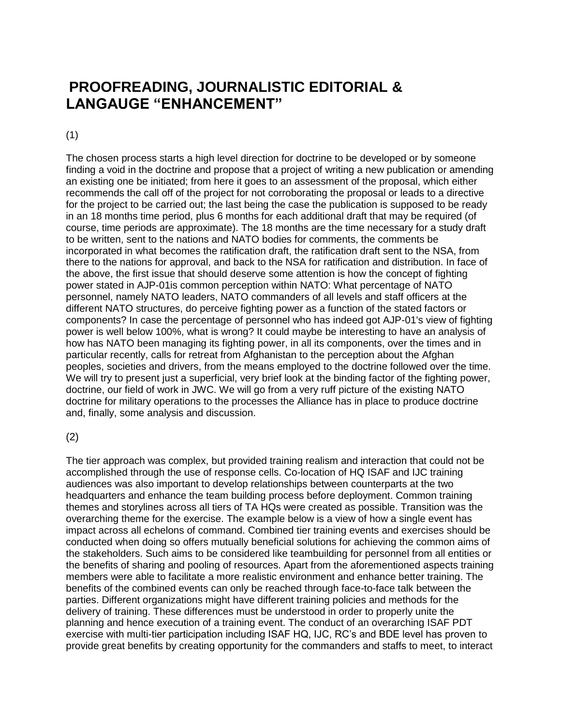## **PROOFREADING, JOURNALISTIC EDITORIAL & LANGAUGE "ENHANCEMENT"**

## (1)

The chosen process starts a high level direction for doctrine to be developed or by someone finding a void in the doctrine and propose that a project of writing a new publication or amending an existing one be initiated; from here it goes to an assessment of the proposal, which either recommends the call off of the project for not corroborating the proposal or leads to a directive for the project to be carried out; the last being the case the publication is supposed to be ready in an 18 months time period, plus 6 months for each additional draft that may be required (of course, time periods are approximate). The 18 months are the time necessary for a study draft to be written, sent to the nations and NATO bodies for comments, the comments be incorporated in what becomes the ratification draft, the ratification draft sent to the NSA, from there to the nations for approval, and back to the NSA for ratification and distribution. In face of the above, the first issue that should deserve some attention is how the concept of fighting power stated in AJP-01is common perception within NATO: What percentage of NATO personnel, namely NATO leaders, NATO commanders of all levels and staff officers at the different NATO structures, do perceive fighting power as a function of the stated factors or components? In case the percentage of personnel who has indeed got AJP-01's view of fighting power is well below 100%, what is wrong? It could maybe be interesting to have an analysis of how has NATO been managing its fighting power, in all its components, over the times and in particular recently, calls for retreat from Afghanistan to the perception about the Afghan peoples, societies and drivers, from the means employed to the doctrine followed over the time. We will try to present just a superficial, very brief look at the binding factor of the fighting power, doctrine, our field of work in JWC. We will go from a very ruff picture of the existing NATO doctrine for military operations to the processes the Alliance has in place to produce doctrine and, finally, some analysis and discussion.

## (2)

The tier approach was complex, but provided training realism and interaction that could not be accomplished through the use of response cells. Co-location of HQ ISAF and IJC training audiences was also important to develop relationships between counterparts at the two headquarters and enhance the team building process before deployment. Common training themes and storylines across all tiers of TA HQs were created as possible. Transition was the overarching theme for the exercise. The example below is a view of how a single event has impact across all echelons of command. Combined tier training events and exercises should be conducted when doing so offers mutually beneficial solutions for achieving the common aims of the stakeholders. Such aims to be considered like teambuilding for personnel from all entities or the benefits of sharing and pooling of resources. Apart from the aforementioned aspects training members were able to facilitate a more realistic environment and enhance better training. The benefits of the combined events can only be reached through face-to-face talk between the parties. Different organizations might have different training policies and methods for the delivery of training. These differences must be understood in order to properly unite the planning and hence execution of a training event. The conduct of an overarching ISAF PDT exercise with multi-tier participation including ISAF HQ, IJC, RC's and BDE level has proven to provide great benefits by creating opportunity for the commanders and staffs to meet, to interact